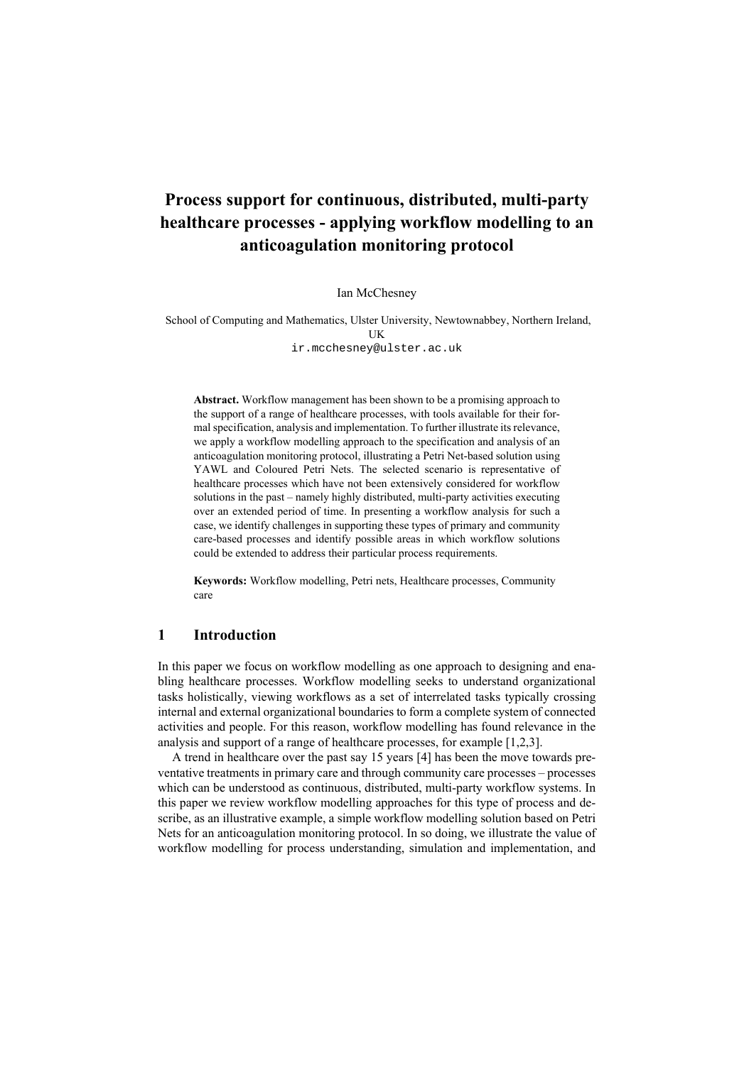# **Process support for continuous, distributed, multi-party healthcare processes - applying workflow modelling to an anticoagulation monitoring protocol**

Ian McChesney

 School of Computing and Mathematics, Ulster University, Newtownabbey, Northern Ireland, **I** IK ir.mcchesney@ulster.ac.uk

**Abstract.** Workflow management has been shown to be a promising approach to the support of a range of healthcare processes, with tools available for their formal specification, analysis and implementation. To further illustrate its relevance, we apply a workflow modelling approach to the specification and analysis of an anticoagulation monitoring protocol, illustrating a Petri Net-based solution using YAWL and Coloured Petri Nets. The selected scenario is representative of healthcare processes which have not been extensively considered for workflow solutions in the past – namely highly distributed, multi-party activities executing over an extended period of time. In presenting a workflow analysis for such a case, we identify challenges in supporting these types of primary and community care-based processes and identify possible areas in which workflow solutions could be extended to address their particular process requirements.

**Keywords:** Workflow modelling, Petri nets, Healthcare processes, Community care

# **1 Introduction**

In this paper we focus on workflow modelling as one approach to designing and enabling healthcare processes. Workflow modelling seeks to understand organizational tasks holistically, viewing workflows as a set of interrelated tasks typically crossing internal and external organizational boundaries to form a complete system of connected activities and people. For this reason, workflow modelling has found relevance in the analysis and support of a range of healthcare processes, for example [1,2,3].

A trend in healthcare over the past say 15 years [4] has been the move towards preventative treatments in primary care and through community care processes – processes which can be understood as continuous, distributed, multi-party workflow systems. In this paper we review workflow modelling approaches for this type of process and describe, as an illustrative example, a simple workflow modelling solution based on Petri Nets for an anticoagulation monitoring protocol. In so doing, we illustrate the value of workflow modelling for process understanding, simulation and implementation, and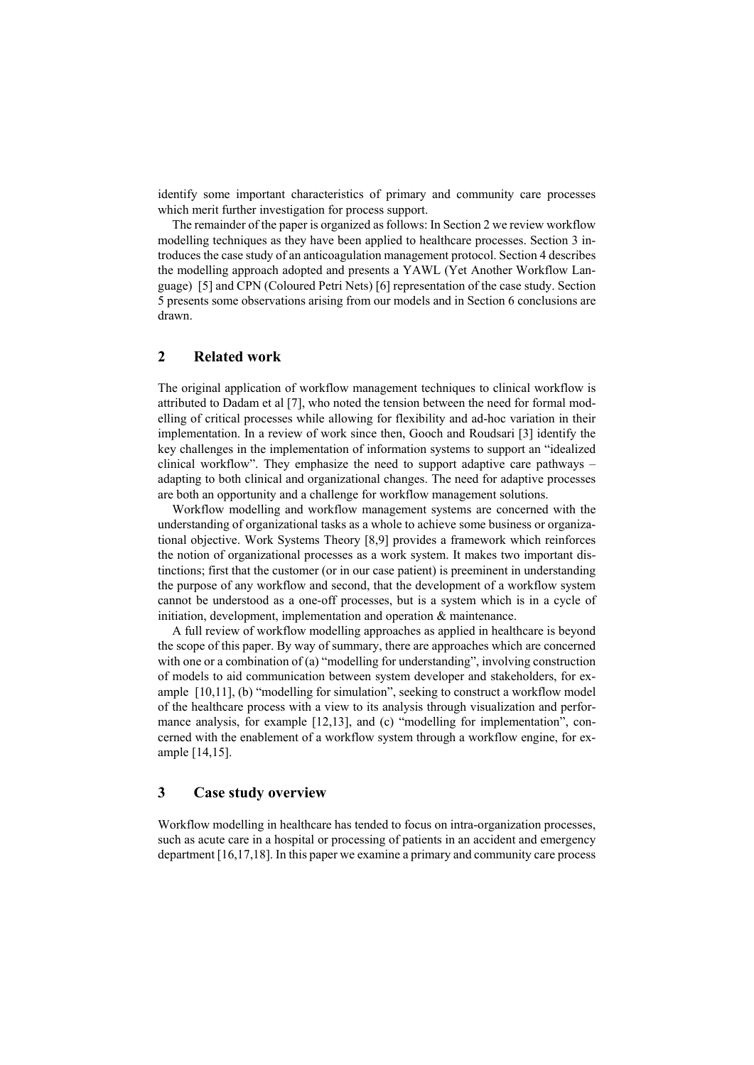identify some important characteristics of primary and community care processes which merit further investigation for process support.

The remainder of the paper is organized as follows: In Section 2 we review workflow modelling techniques as they have been applied to healthcare processes. Section 3 introduces the case study of an anticoagulation management protocol. Section 4 describes the modelling approach adopted and presents a YAWL (Yet Another Workflow Language) [5] and CPN (Coloured Petri Nets) [6] representation of the case study. Section 5 presents some observations arising from our models and in Section 6 conclusions are drawn.

# **2 Related work**

The original application of workflow management techniques to clinical workflow is attributed to Dadam et al [7], who noted the tension between the need for formal modelling of critical processes while allowing for flexibility and ad-hoc variation in their implementation. In a review of work since then, Gooch and Roudsari [3] identify the key challenges in the implementation of information systems to support an "idealized clinical workflow". They emphasize the need to support adaptive care pathways – adapting to both clinical and organizational changes. The need for adaptive processes are both an opportunity and a challenge for workflow management solutions.

Workflow modelling and workflow management systems are concerned with the understanding of organizational tasks as a whole to achieve some business or organizational objective. Work Systems Theory [8,9] provides a framework which reinforces the notion of organizational processes as a work system. It makes two important distinctions; first that the customer (or in our case patient) is preeminent in understanding the purpose of any workflow and second, that the development of a workflow system cannot be understood as a one-off processes, but is a system which is in a cycle of initiation, development, implementation and operation & maintenance.

A full review of workflow modelling approaches as applied in healthcare is beyond the scope of this paper. By way of summary, there are approaches which are concerned with one or a combination of (a) "modelling for understanding", involving construction of models to aid communication between system developer and stakeholders, for example [10,11], (b) "modelling for simulation", seeking to construct a workflow model of the healthcare process with a view to its analysis through visualization and performance analysis, for example [12,13], and (c) "modelling for implementation", concerned with the enablement of a workflow system through a workflow engine, for example [14,15].

### **3 Case study overview**

Workflow modelling in healthcare has tended to focus on intra-organization processes, such as acute care in a hospital or processing of patients in an accident and emergency department [16,17,18]. In this paper we examine a primary and community care process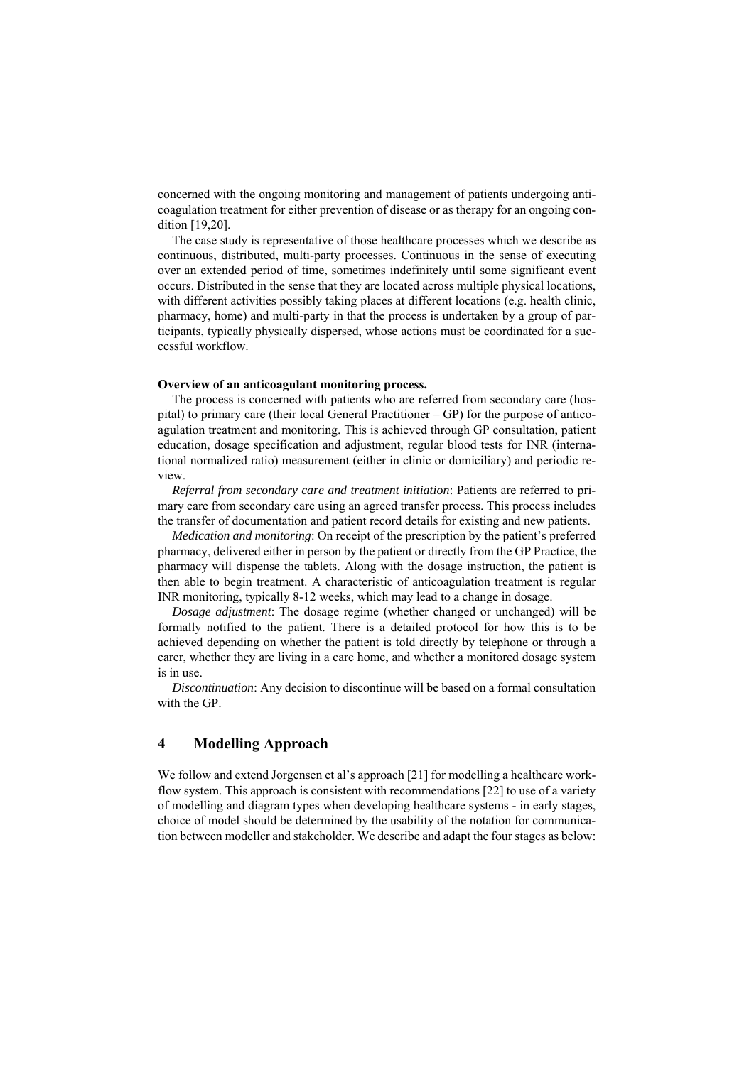concerned with the ongoing monitoring and management of patients undergoing anticoagulation treatment for either prevention of disease or as therapy for an ongoing condition [19,20].

The case study is representative of those healthcare processes which we describe as continuous, distributed, multi-party processes. Continuous in the sense of executing over an extended period of time, sometimes indefinitely until some significant event occurs. Distributed in the sense that they are located across multiple physical locations, with different activities possibly taking places at different locations (e.g. health clinic, pharmacy, home) and multi-party in that the process is undertaken by a group of participants, typically physically dispersed, whose actions must be coordinated for a successful workflow.

#### **Overview of an anticoagulant monitoring process.**

The process is concerned with patients who are referred from secondary care (hospital) to primary care (their local General Practitioner – GP) for the purpose of anticoagulation treatment and monitoring. This is achieved through GP consultation, patient education, dosage specification and adjustment, regular blood tests for INR (international normalized ratio) measurement (either in clinic or domiciliary) and periodic review.

*Referral from secondary care and treatment initiation*: Patients are referred to primary care from secondary care using an agreed transfer process. This process includes the transfer of documentation and patient record details for existing and new patients.

*Medication and monitoring*: On receipt of the prescription by the patient's preferred pharmacy, delivered either in person by the patient or directly from the GP Practice, the pharmacy will dispense the tablets. Along with the dosage instruction, the patient is then able to begin treatment. A characteristic of anticoagulation treatment is regular INR monitoring, typically 8-12 weeks, which may lead to a change in dosage.

*Dosage adjustment*: The dosage regime (whether changed or unchanged) will be formally notified to the patient. There is a detailed protocol for how this is to be achieved depending on whether the patient is told directly by telephone or through a carer, whether they are living in a care home, and whether a monitored dosage system is in use.

*Discontinuation*: Any decision to discontinue will be based on a formal consultation with the GP.

# **4 Modelling Approach**

We follow and extend Jorgensen et al's approach [21] for modelling a healthcare workflow system. This approach is consistent with recommendations [22] to use of a variety of modelling and diagram types when developing healthcare systems - in early stages, choice of model should be determined by the usability of the notation for communication between modeller and stakeholder. We describe and adapt the four stages as below: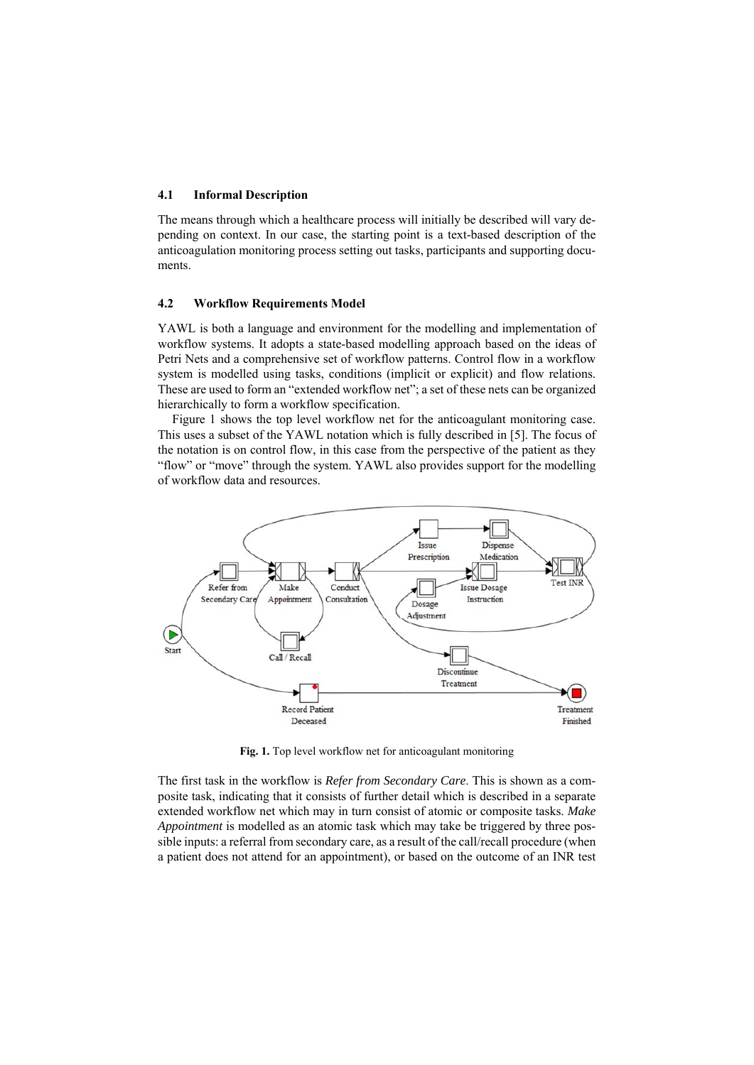#### **4.1 Informal Description**

The means through which a healthcare process will initially be described will vary depending on context. In our case, the starting point is a text-based description of the anticoagulation monitoring process setting out tasks, participants and supporting documents.

#### **4.2 Workflow Requirements Model**

YAWL is both a language and environment for the modelling and implementation of workflow systems. It adopts a state-based modelling approach based on the ideas of Petri Nets and a comprehensive set of workflow patterns. Control flow in a workflow system is modelled using tasks, conditions (implicit or explicit) and flow relations. These are used to form an "extended workflow net"; a set of these nets can be organized hierarchically to form a workflow specification.

Figure 1 shows the top level workflow net for the anticoagulant monitoring case. This uses a subset of the YAWL notation which is fully described in [5]. The focus of the notation is on control flow, in this case from the perspective of the patient as they "flow" or "move" through the system. YAWL also provides support for the modelling of workflow data and resources.



**Fig. 1.** Top level workflow net for anticoagulant monitoring

The first task in the workflow is *Refer from Secondary Care*. This is shown as a composite task, indicating that it consists of further detail which is described in a separate extended workflow net which may in turn consist of atomic or composite tasks. *Make Appointment* is modelled as an atomic task which may take be triggered by three possible inputs: a referral from secondary care, as a result of the call/recall procedure (when a patient does not attend for an appointment), or based on the outcome of an INR test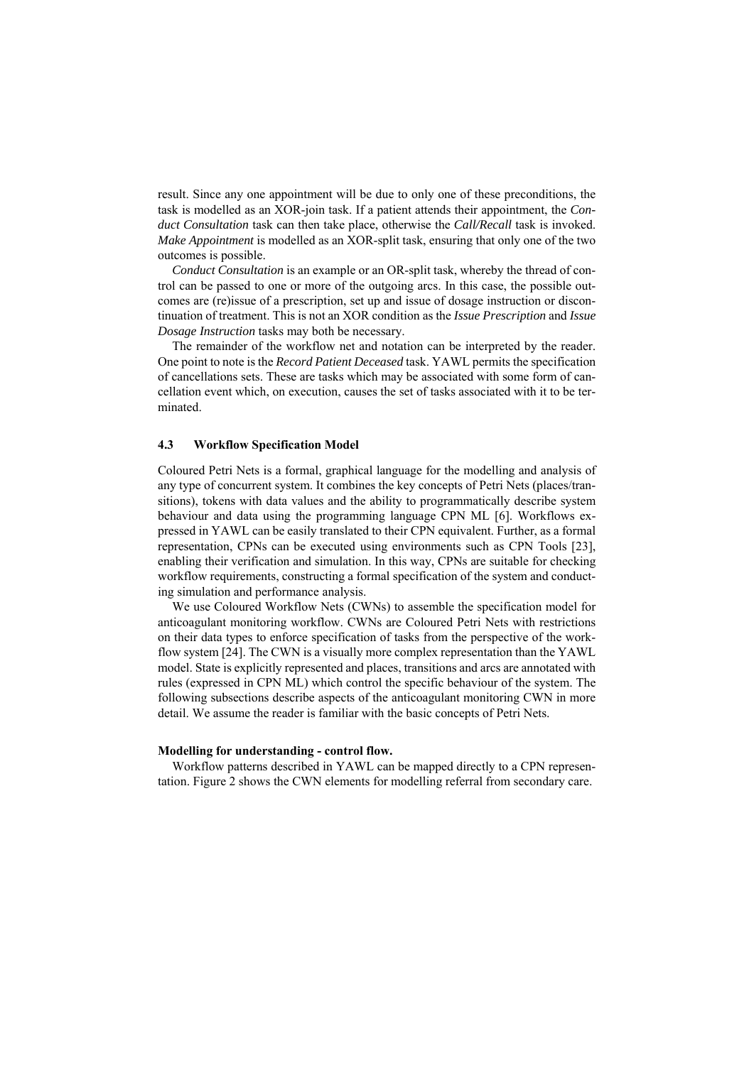result. Since any one appointment will be due to only one of these preconditions, the task is modelled as an XOR-join task. If a patient attends their appointment, the *Conduct Consultation* task can then take place, otherwise the *Call/Recall* task is invoked. *Make Appointment* is modelled as an XOR-split task, ensuring that only one of the two outcomes is possible.

*Conduct Consultation* is an example or an OR-split task, whereby the thread of control can be passed to one or more of the outgoing arcs. In this case, the possible outcomes are (re)issue of a prescription, set up and issue of dosage instruction or discontinuation of treatment. This is not an XOR condition as the *Issue Prescription* and *Issue Dosage Instruction* tasks may both be necessary.

The remainder of the workflow net and notation can be interpreted by the reader. One point to note is the *Record Patient Deceased* task. YAWL permits the specification of cancellations sets. These are tasks which may be associated with some form of cancellation event which, on execution, causes the set of tasks associated with it to be terminated.

#### **4.3 Workflow Specification Model**

Coloured Petri Nets is a formal, graphical language for the modelling and analysis of any type of concurrent system. It combines the key concepts of Petri Nets (places/transitions), tokens with data values and the ability to programmatically describe system behaviour and data using the programming language CPN ML [6]. Workflows expressed in YAWL can be easily translated to their CPN equivalent. Further, as a formal representation, CPNs can be executed using environments such as CPN Tools [23], enabling their verification and simulation. In this way, CPNs are suitable for checking workflow requirements, constructing a formal specification of the system and conducting simulation and performance analysis.

We use Coloured Workflow Nets (CWNs) to assemble the specification model for anticoagulant monitoring workflow. CWNs are Coloured Petri Nets with restrictions on their data types to enforce specification of tasks from the perspective of the workflow system [24]. The CWN is a visually more complex representation than the YAWL model. State is explicitly represented and places, transitions and arcs are annotated with rules (expressed in CPN ML) which control the specific behaviour of the system. The following subsections describe aspects of the anticoagulant monitoring CWN in more detail. We assume the reader is familiar with the basic concepts of Petri Nets.

#### **Modelling for understanding - control flow.**

Workflow patterns described in YAWL can be mapped directly to a CPN representation. Figure 2 shows the CWN elements for modelling referral from secondary care.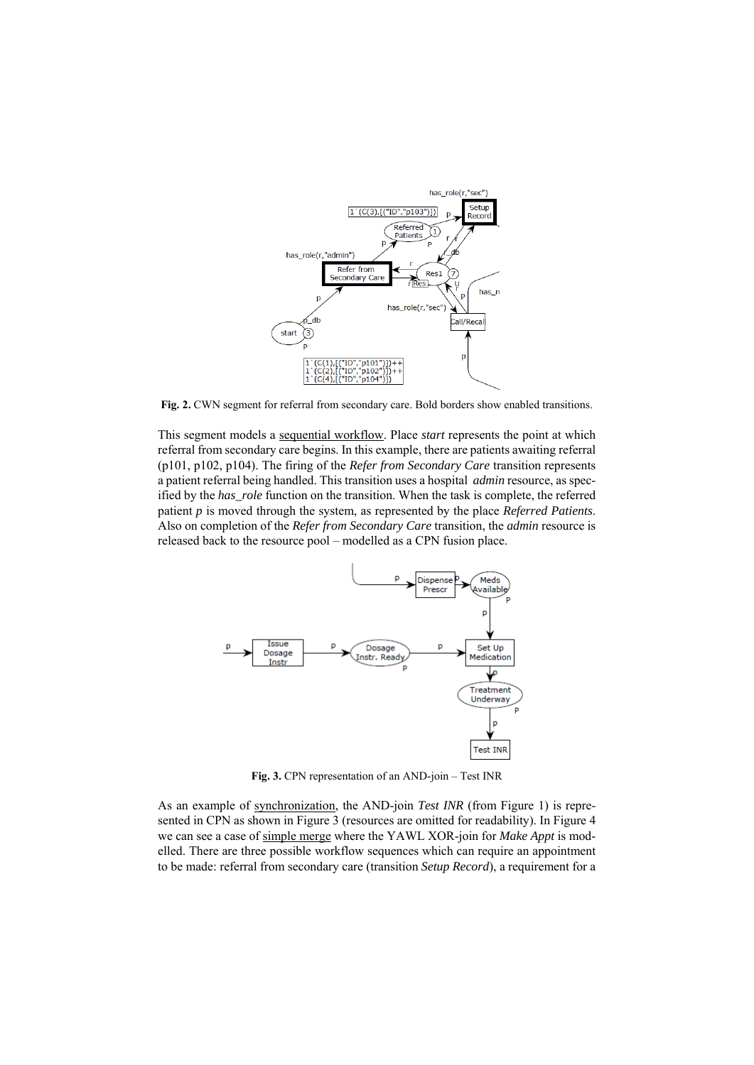

**Fig. 2.** CWN segment for referral from secondary care. Bold borders show enabled transitions.

This segment models a sequential workflow. Place *start* represents the point at which referral from secondary care begins. In this example, there are patients awaiting referral (p101, p102, p104). The firing of the *Refer from Secondary Care* transition represents a patient referral being handled. This transition uses a hospital *admin* resource, as specified by the *has\_role* function on the transition. When the task is complete, the referred patient *p* is moved through the system, as represented by the place *Referred Patients*. Also on completion of the *Refer from Secondary Care* transition, the *admin* resource is released back to the resource pool – modelled as a CPN fusion place.



**Fig. 3.** CPN representation of an AND-join – Test INR

As an example of synchronization, the AND-join *Test INR* (from Figure 1) is represented in CPN as shown in Figure 3 (resources are omitted for readability). In Figure 4 we can see a case of simple merge where the YAWL XOR-join for *Make Appt* is modelled. There are three possible workflow sequences which can require an appointment to be made: referral from secondary care (transition *Setup Record*), a requirement for a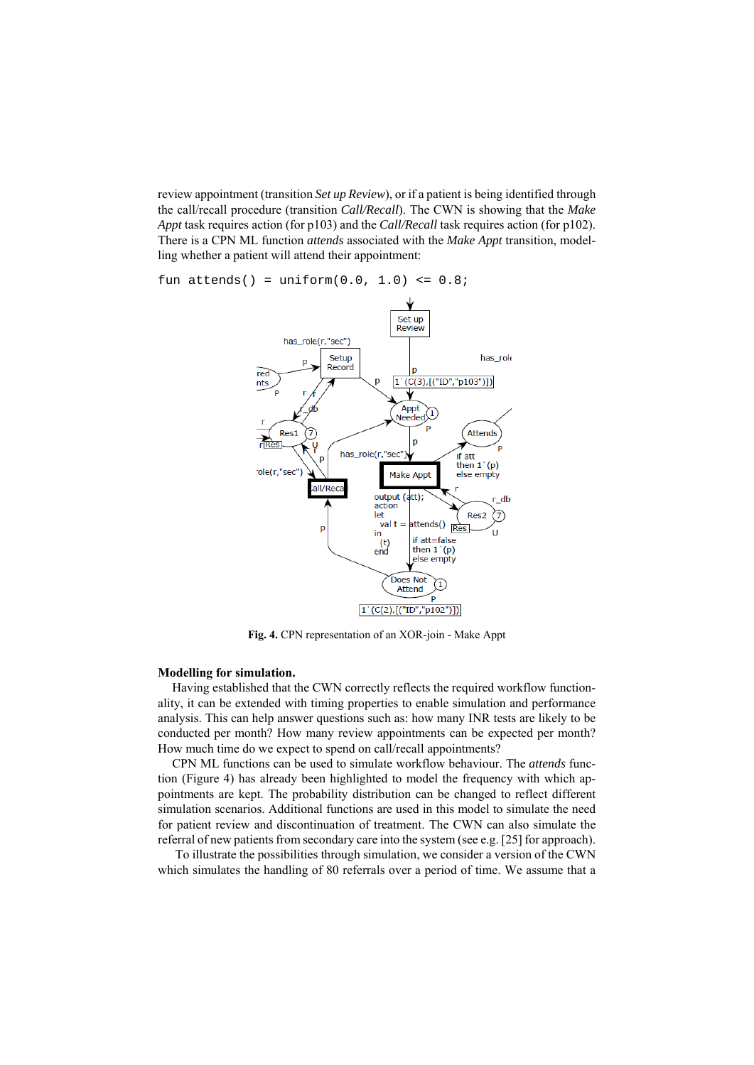review appointment (transition *Set up Review*), or if a patient is being identified through the call/recall procedure (transition *Call/Recall*). The CWN is showing that the *Make Appt* task requires action (for p103) and the *Call/Recall* task requires action (for p102). There is a CPN ML function *attends* associated with the *Make Appt* transition, modelling whether a patient will attend their appointment:

fun attends() =  $uniform(0.0, 1.0)$  <=  $0.8$ ;



**Fig. 4.** CPN representation of an XOR-join - Make Appt

#### **Modelling for simulation.**

Having established that the CWN correctly reflects the required workflow functionality, it can be extended with timing properties to enable simulation and performance analysis. This can help answer questions such as: how many INR tests are likely to be conducted per month? How many review appointments can be expected per month? How much time do we expect to spend on call/recall appointments?

CPN ML functions can be used to simulate workflow behaviour. The *attends* function (Figure 4) has already been highlighted to model the frequency with which appointments are kept. The probability distribution can be changed to reflect different simulation scenarios. Additional functions are used in this model to simulate the need for patient review and discontinuation of treatment. The CWN can also simulate the referral of new patients from secondary care into the system (see e.g. [25] for approach).

 To illustrate the possibilities through simulation, we consider a version of the CWN which simulates the handling of 80 referrals over a period of time. We assume that a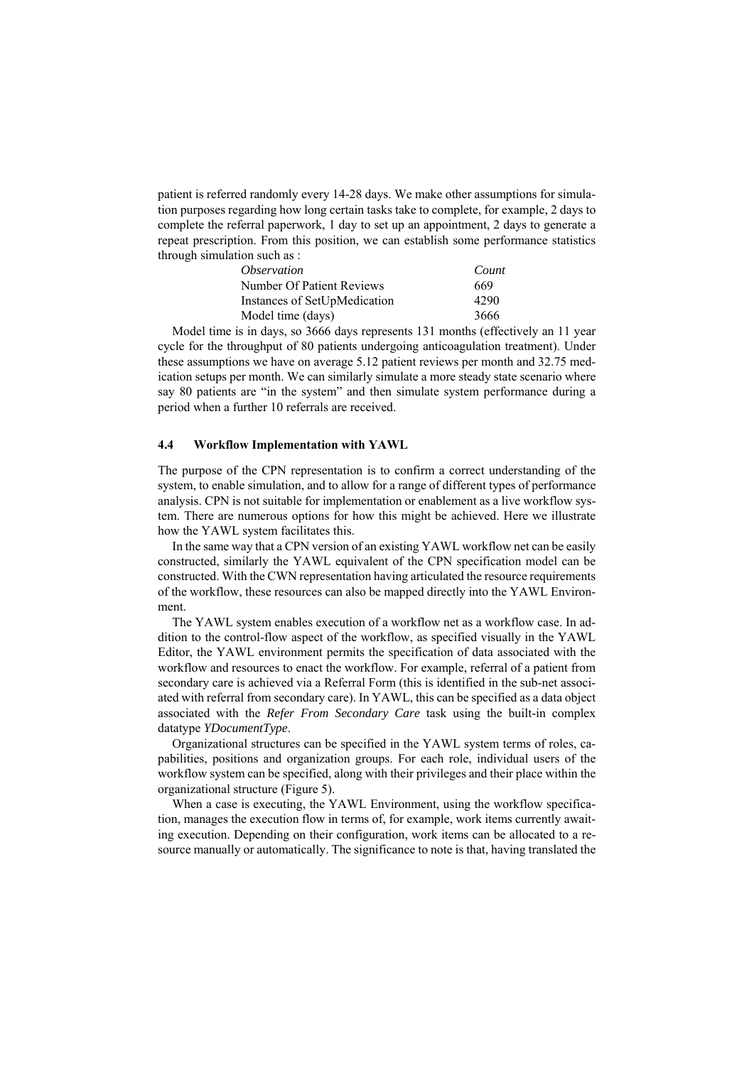patient is referred randomly every 14-28 days. We make other assumptions for simulation purposes regarding how long certain tasks take to complete, for example, 2 days to complete the referral paperwork, 1 day to set up an appointment, 2 days to generate a repeat prescription. From this position, we can establish some performance statistics through simulation such as :

| <i><b>Observation</b></i>    | Count |  |  |  |
|------------------------------|-------|--|--|--|
| Number Of Patient Reviews    | 669   |  |  |  |
| Instances of SetUpMedication | 4290  |  |  |  |
| Model time (days)            | 3666  |  |  |  |

Model time is in days, so 3666 days represents 131 months (effectively an 11 year cycle for the throughput of 80 patients undergoing anticoagulation treatment). Under these assumptions we have on average 5.12 patient reviews per month and 32.75 medication setups per month. We can similarly simulate a more steady state scenario where say 80 patients are "in the system" and then simulate system performance during a period when a further 10 referrals are received.

#### **4.4 Workflow Implementation with YAWL**

The purpose of the CPN representation is to confirm a correct understanding of the system, to enable simulation, and to allow for a range of different types of performance analysis. CPN is not suitable for implementation or enablement as a live workflow system. There are numerous options for how this might be achieved. Here we illustrate how the YAWL system facilitates this.

In the same way that a CPN version of an existing YAWL workflow net can be easily constructed, similarly the YAWL equivalent of the CPN specification model can be constructed. With the CWN representation having articulated the resource requirements of the workflow, these resources can also be mapped directly into the YAWL Environment.

The YAWL system enables execution of a workflow net as a workflow case. In addition to the control-flow aspect of the workflow, as specified visually in the YAWL Editor, the YAWL environment permits the specification of data associated with the workflow and resources to enact the workflow. For example, referral of a patient from secondary care is achieved via a Referral Form (this is identified in the sub-net associated with referral from secondary care). In YAWL, this can be specified as a data object associated with the *Refer From Secondary Care* task using the built-in complex datatype *YDocumentType*.

Organizational structures can be specified in the YAWL system terms of roles, capabilities, positions and organization groups. For each role, individual users of the workflow system can be specified, along with their privileges and their place within the organizational structure (Figure 5).

When a case is executing, the YAWL Environment, using the workflow specification, manages the execution flow in terms of, for example, work items currently awaiting execution. Depending on their configuration, work items can be allocated to a resource manually or automatically. The significance to note is that, having translated the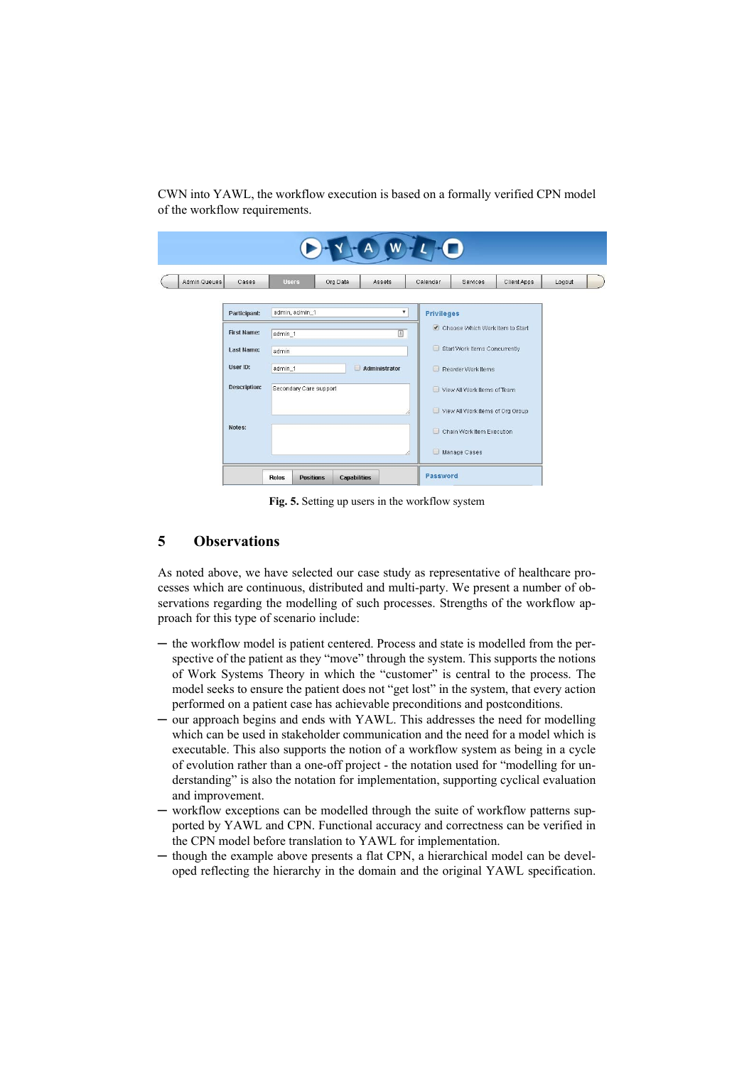| Admin Queues | Cases               | <b>Users</b>                                 | Org Data | Assets        |                               | Calendar                        | <b>Services</b>                  | Client Apps | Logout |
|--------------|---------------------|----------------------------------------------|----------|---------------|-------------------------------|---------------------------------|----------------------------------|-------------|--------|
|              | Participant:        | admin, admin_1<br>۷<br>圓<br>admin_1<br>admin |          |               | <b>Privileges</b>             |                                 |                                  |             |        |
|              | <b>First Name:</b>  |                                              |          |               |                               | Choose Which Work Item to Start |                                  |             |        |
|              | <b>Last Name:</b>   |                                              |          |               | Start Work Items Concurrently |                                 |                                  |             |        |
|              | User ID:            | admin_1                                      |          | Administrator |                               |                                 | Reorder Work Items               |             |        |
|              | <b>Description:</b> | Secondary Care support                       |          |               | View All Work Items of Team   |                                 |                                  |             |        |
|              |                     |                                              |          |               |                               |                                 | View All Work items of Org Group |             |        |
|              | Notes:              |                                              |          |               |                               |                                 | Chain Work Item Execution        |             |        |
|              |                     |                                              |          |               |                               |                                 | Manage Cases                     |             |        |
|              |                     |                                              |          |               |                               |                                 |                                  |             |        |

CWN into YAWL, the workflow execution is based on a formally verified CPN model of the workflow requirements.

**Fig. 5.** Setting up users in the workflow system

# **5 Observations**

As noted above, we have selected our case study as representative of healthcare processes which are continuous, distributed and multi-party. We present a number of observations regarding the modelling of such processes. Strengths of the workflow approach for this type of scenario include:

- ─ the workflow model is patient centered. Process and state is modelled from the perspective of the patient as they "move" through the system. This supports the notions of Work Systems Theory in which the "customer" is central to the process. The model seeks to ensure the patient does not "get lost" in the system, that every action performed on a patient case has achievable preconditions and postconditions.
- ─ our approach begins and ends with YAWL. This addresses the need for modelling which can be used in stakeholder communication and the need for a model which is executable. This also supports the notion of a workflow system as being in a cycle of evolution rather than a one-off project - the notation used for "modelling for understanding" is also the notation for implementation, supporting cyclical evaluation and improvement.
- workflow exceptions can be modelled through the suite of workflow patterns supported by YAWL and CPN. Functional accuracy and correctness can be verified in the CPN model before translation to YAWL for implementation.
- ─ though the example above presents a flat CPN, a hierarchical model can be developed reflecting the hierarchy in the domain and the original YAWL specification.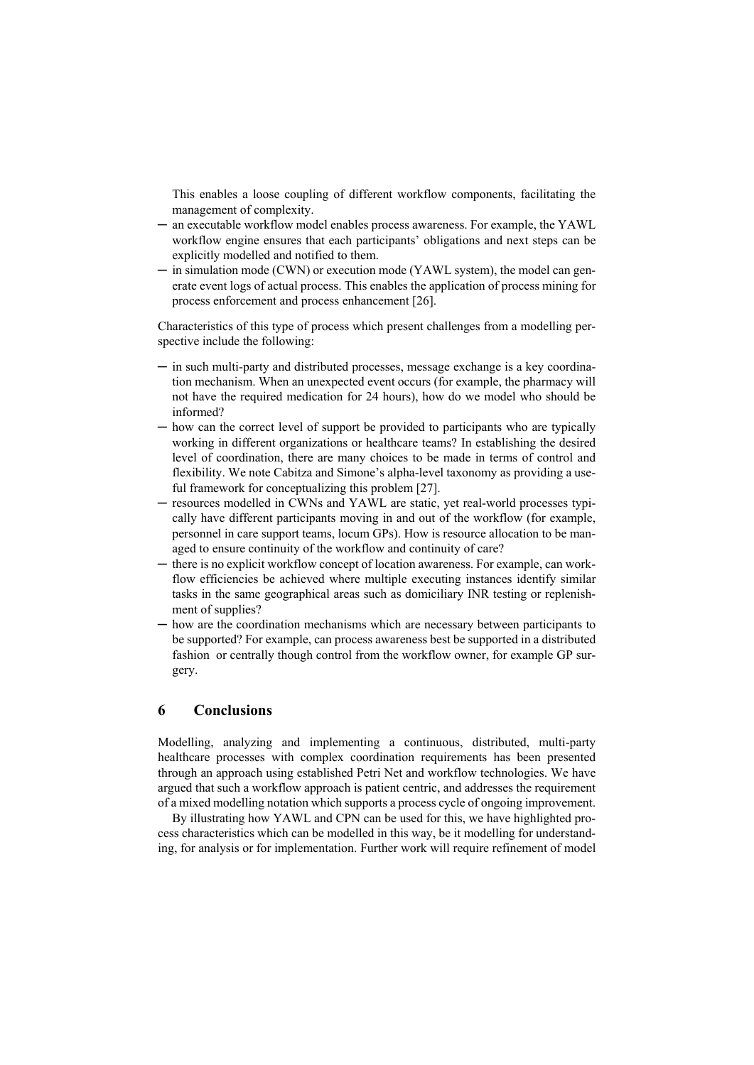This enables a loose coupling of different workflow components, facilitating the management of complexity.

- an executable workflow model enables process awareness. For example, the YAWL workflow engine ensures that each participants' obligations and next steps can be explicitly modelled and notified to them.
- in simulation mode (CWN) or execution mode (YAWL system), the model can generate event logs of actual process. This enables the application of process mining for process enforcement and process enhancement [26].

Characteristics of this type of process which present challenges from a modelling perspective include the following:

- ─ in such multi-party and distributed processes, message exchange is a key coordination mechanism. When an unexpected event occurs (for example, the pharmacy will not have the required medication for 24 hours), how do we model who should be informed?
- how can the correct level of support be provided to participants who are typically working in different organizations or healthcare teams? In establishing the desired level of coordination, there are many choices to be made in terms of control and flexibility. We note Cabitza and Simone's alpha-level taxonomy as providing a useful framework for conceptualizing this problem [27].
- resources modelled in CWNs and YAWL are static, yet real-world processes typically have different participants moving in and out of the workflow (for example, personnel in care support teams, locum GPs). How is resource allocation to be managed to ensure continuity of the workflow and continuity of care?
- ─ there is no explicit workflow concept of location awareness. For example, can workflow efficiencies be achieved where multiple executing instances identify similar tasks in the same geographical areas such as domiciliary INR testing or replenishment of supplies?
- ─ how are the coordination mechanisms which are necessary between participants to be supported? For example, can process awareness best be supported in a distributed fashion or centrally though control from the workflow owner, for example GP surgery.

# **6 Conclusions**

Modelling, analyzing and implementing a continuous, distributed, multi-party healthcare processes with complex coordination requirements has been presented through an approach using established Petri Net and workflow technologies. We have argued that such a workflow approach is patient centric, and addresses the requirement of a mixed modelling notation which supports a process cycle of ongoing improvement.

By illustrating how YAWL and CPN can be used for this, we have highlighted process characteristics which can be modelled in this way, be it modelling for understanding, for analysis or for implementation. Further work will require refinement of model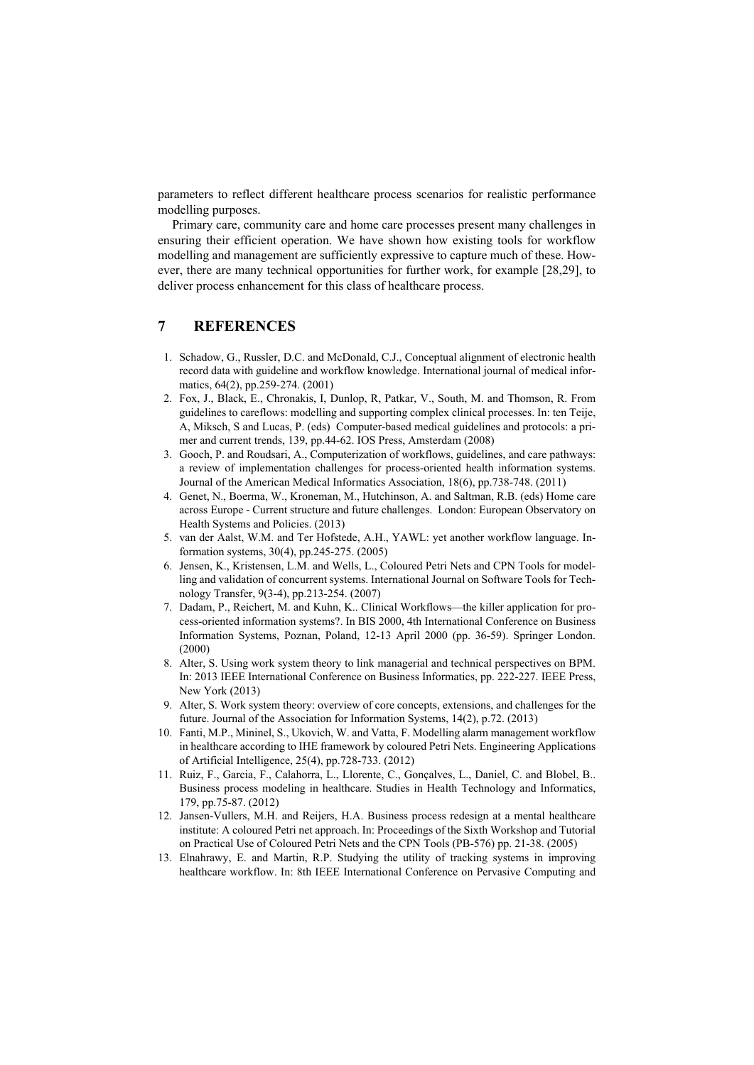parameters to reflect different healthcare process scenarios for realistic performance modelling purposes.

Primary care, community care and home care processes present many challenges in ensuring their efficient operation. We have shown how existing tools for workflow modelling and management are sufficiently expressive to capture much of these. However, there are many technical opportunities for further work, for example [28,29], to deliver process enhancement for this class of healthcare process.

# **7 REFERENCES**

- 1. Schadow, G., Russler, D.C. and McDonald, C.J., Conceptual alignment of electronic health record data with guideline and workflow knowledge. International journal of medical informatics, 64(2), pp.259-274. (2001)
- 2. Fox, J., Black, E., Chronakis, I, Dunlop, R, Patkar, V., South, M. and Thomson, R. From guidelines to careflows: modelling and supporting complex clinical processes. In: ten Teije, A, Miksch, S and Lucas, P. (eds) Computer-based medical guidelines and protocols: a primer and current trends, 139, pp.44-62. IOS Press, Amsterdam (2008)
- 3. Gooch, P. and Roudsari, A., Computerization of workflows, guidelines, and care pathways: a review of implementation challenges for process-oriented health information systems. Journal of the American Medical Informatics Association, 18(6), pp.738-748. (2011)
- 4. Genet, N., Boerma, W., Kroneman, M., Hutchinson, A. and Saltman, R.B. (eds) Home care across Europe - Current structure and future challenges. London: European Observatory on Health Systems and Policies. (2013)
- 5. van der Aalst, W.M. and Ter Hofstede, A.H., YAWL: yet another workflow language. Information systems, 30(4), pp.245-275. (2005)
- 6. Jensen, K., Kristensen, L.M. and Wells, L., Coloured Petri Nets and CPN Tools for modelling and validation of concurrent systems. International Journal on Software Tools for Technology Transfer, 9(3-4), pp.213-254. (2007)
- 7. Dadam, P., Reichert, M. and Kuhn, K.. Clinical Workflows—the killer application for process-oriented information systems?. In BIS 2000, 4th International Conference on Business Information Systems, Poznan, Poland, 12-13 April 2000 (pp. 36-59). Springer London. (2000)
- 8. Alter, S. Using work system theory to link managerial and technical perspectives on BPM. In: 2013 IEEE International Conference on Business Informatics, pp. 222-227. IEEE Press, New York (2013)
- 9. Alter, S. Work system theory: overview of core concepts, extensions, and challenges for the future. Journal of the Association for Information Systems, 14(2), p.72. (2013)
- 10. Fanti, M.P., Mininel, S., Ukovich, W. and Vatta, F. Modelling alarm management workflow in healthcare according to IHE framework by coloured Petri Nets. Engineering Applications of Artificial Intelligence, 25(4), pp.728-733. (2012)
- 11. Ruiz, F., Garcia, F., Calahorra, L., Llorente, C., Gonçalves, L., Daniel, C. and Blobel, B.. Business process modeling in healthcare. Studies in Health Technology and Informatics, 179, pp.75-87. (2012)
- 12. Jansen-Vullers, M.H. and Reijers, H.A. Business process redesign at a mental healthcare institute: A coloured Petri net approach. In: Proceedings of the Sixth Workshop and Tutorial on Practical Use of Coloured Petri Nets and the CPN Tools (PB-576) pp. 21-38. (2005)
- 13. Elnahrawy, E. and Martin, R.P. Studying the utility of tracking systems in improving healthcare workflow. In: 8th IEEE International Conference on Pervasive Computing and